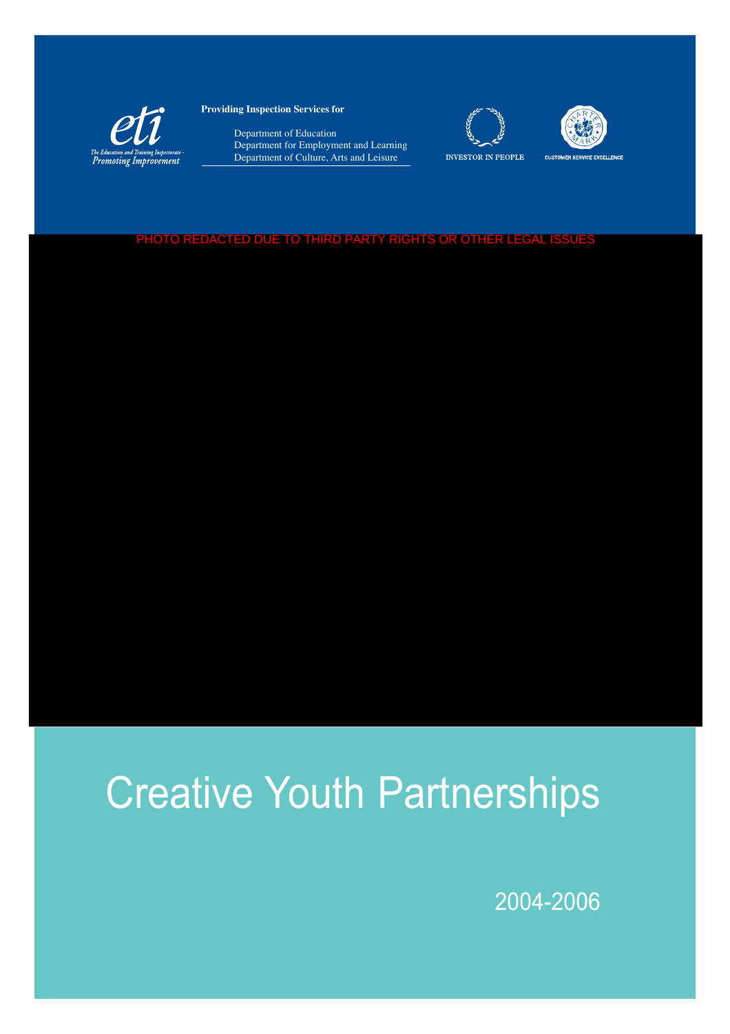

**Providing Inspection Services for** 

 Department of Education Department for Employment and Learning Department of Culture, Arts and Leisure





**CUSTOMER SERVICE EXCELLENCE** 

#### PHOTO REDACTED DUE TO THIRD PARTY RIGHTS OR OTHER LEGAL ISSUES

# Creative Youth Partnerships

2004-2006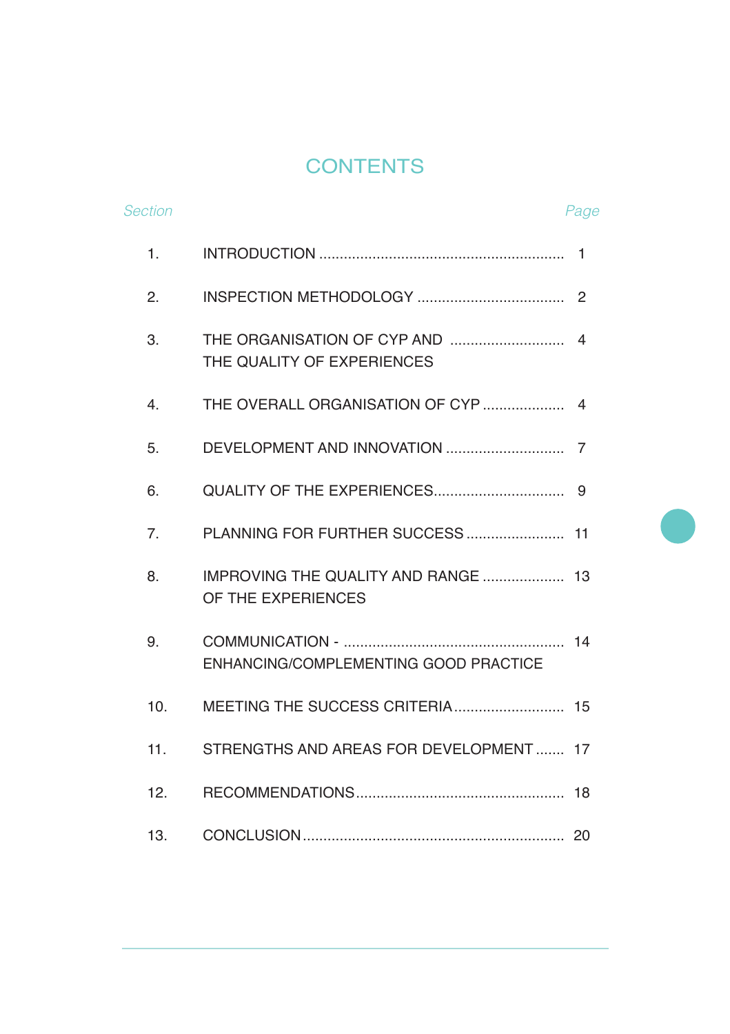# **CONTENTS**

| <b>Section</b> |                                                       | Page |
|----------------|-------------------------------------------------------|------|
| 1.             |                                                       |      |
| 2.             |                                                       | 2    |
| 3.             | THE QUALITY OF EXPERIENCES                            | 4    |
| 4.             | THE OVERALL ORGANISATION OF CYP                       | 4    |
| 5.             |                                                       |      |
| 6.             |                                                       | 9    |
| 7.             | PLANNING FOR FURTHER SUCCESS                          | 11   |
| 8.             | IMPROVING THE QUALITY AND RANGE<br>OF THE EXPERIENCES | 13   |
| 9.             | ENHANCING/COMPLEMENTING GOOD PRACTICE                 |      |
| 10.            |                                                       |      |
| 11.            | STRENGTHS AND AREAS FOR DEVELOPMENT 17                |      |
| 12.            |                                                       | 18   |
| 13.            |                                                       | 20   |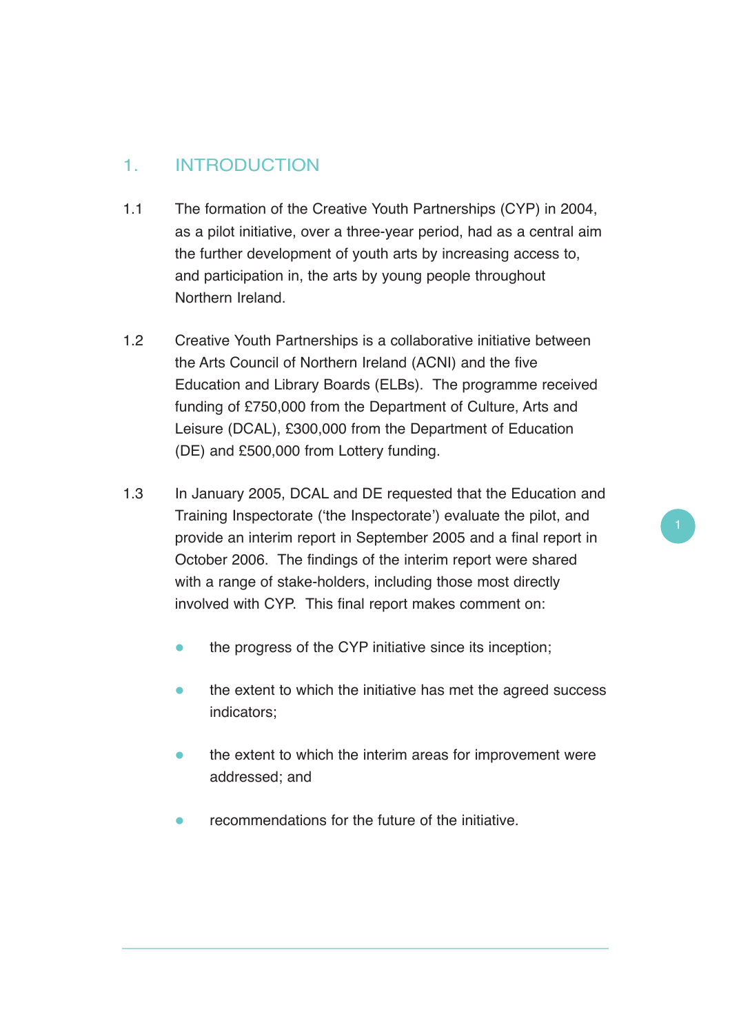# 1. INTRODUCTION

- 1.1 The formation of the Creative Youth Partnerships (CYP) in 2004, as a pilot initiative, over a three-year period, had as a central aim the further development of youth arts by increasing access to, and participation in, the arts by young people throughout Northern Ireland.
- 1.2 Creative Youth Partnerships is a collaborative initiative between the Arts Council of Northern Ireland (ACNI) and the five Education and Library Boards (ELBs). The programme received funding of £750,000 from the Department of Culture, Arts and Leisure (DCAL), £300,000 from the Department of Education (DE) and £500,000 from Lottery funding.
- 1.3 In January 2005, DCAL and DE requested that the Education and Training Inspectorate ('the Inspectorate') evaluate the pilot, and provide an interim report in September 2005 and a final report in October 2006. The findings of the interim report were shared with a range of stake-holders, including those most directly involved with CYP. This final report makes comment on:
	- $\bullet$ the progress of the CYP initiative since its inception;
	- $\bullet$  the extent to which the initiative has met the agreed success indicators;
	- $\bullet$  the extent to which the interim areas for improvement were addressed; and
	- $\bullet$ recommendations for the future of the initiative.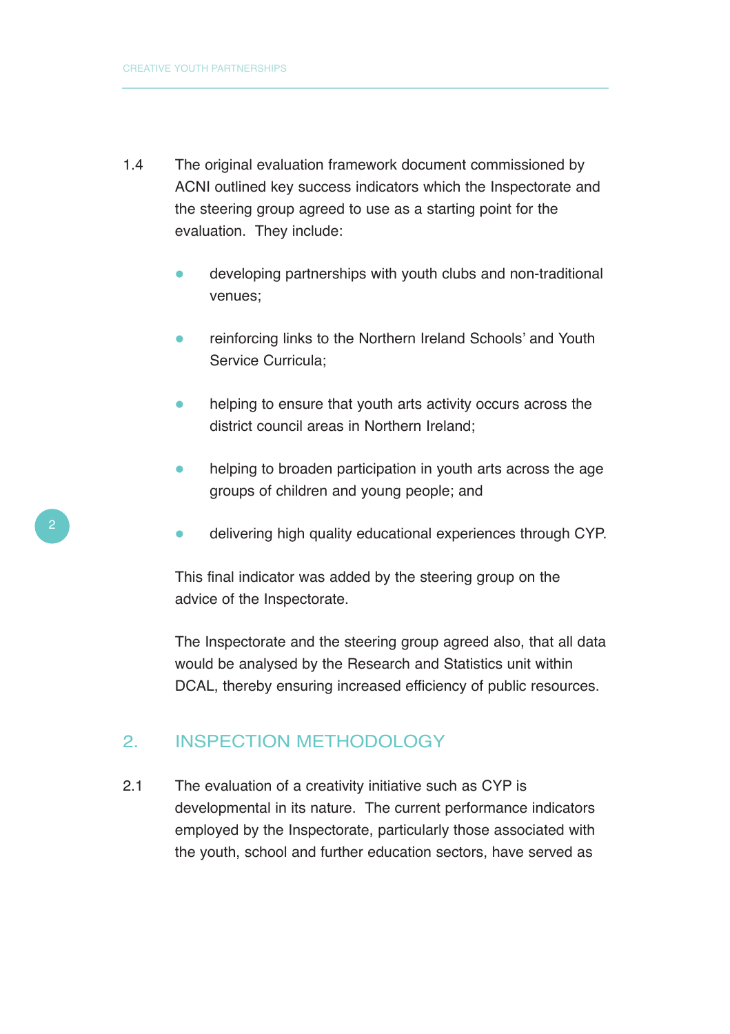- 1.4 The original evaluation framework document commissioned by ACNI outlined key success indicators which the Inspectorate and the steering group agreed to use as a starting point for the evaluation. They include:
	- $\bullet$  developing partnerships with youth clubs and non-traditional venues;
	- $\bullet$  reinforcing links to the Northern Ireland Schools' and Youth Service Curricula;
	- $\bullet$  helping to ensure that youth arts activity occurs across the district council areas in Northern Ireland;
	- $\bullet$  helping to broaden participation in youth arts across the age groups of children and young people; and
	- $\bullet$ delivering high quality educational experiences through CYP.

This final indicator was added by the steering group on the advice of the Inspectorate.

The Inspectorate and the steering group agreed also, that all data would be analysed by the Research and Statistics unit within DCAL, thereby ensuring increased efficiency of public resources.

#### 2. INSPECTION METHODOLOGY

2.1 The evaluation of a creativity initiative such as CYP is developmental in its nature. The current performance indicators employed by the Inspectorate, particularly those associated with the youth, school and further education sectors, have served as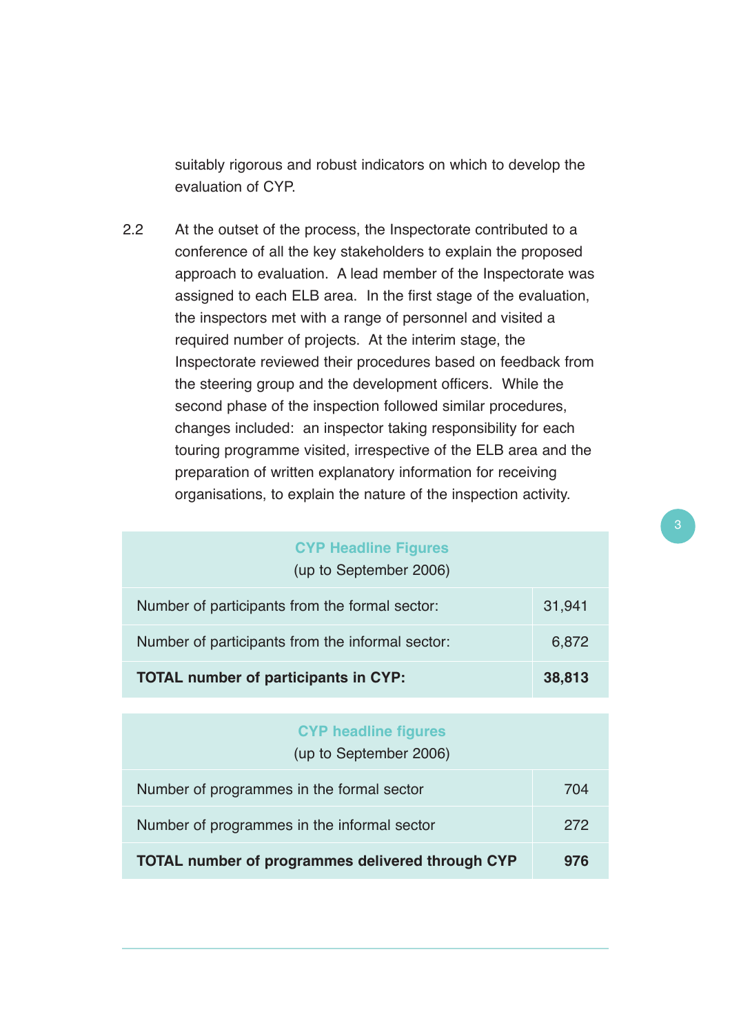suitably rigorous and robust indicators on which to develop the evaluation of CYP.

2.2 At the outset of the process, the Inspectorate contributed to a conference of all the key stakeholders to explain the proposed approach to evaluation. A lead member of the Inspectorate was assigned to each ELB area. In the first stage of the evaluation, the inspectors met with a range of personnel and visited a required number of projects. At the interim stage, the Inspectorate reviewed their procedures based on feedback from the steering group and the development officers. While the second phase of the inspection followed similar procedures, changes included: an inspector taking responsibility for each touring programme visited, irrespective of the ELB area and the preparation of written explanatory information for receiving organisations, to explain the nature of the inspection activity.

| <b>CYP Headline Figures</b><br>(up to September 2006) |  |  |  |  |  |
|-------------------------------------------------------|--|--|--|--|--|
| Number of participants from the formal sector:        |  |  |  |  |  |
| Number of participants from the informal sector:      |  |  |  |  |  |
| <b>TOTAL number of participants in CYP:</b>           |  |  |  |  |  |
|                                                       |  |  |  |  |  |
| <b>CYP headline figures</b><br>(up to September 2006) |  |  |  |  |  |

| Number of programmes in the formal sector               | 704 |  |
|---------------------------------------------------------|-----|--|
| Number of programmes in the informal sector             | 272 |  |
| <b>TOTAL number of programmes delivered through CYP</b> |     |  |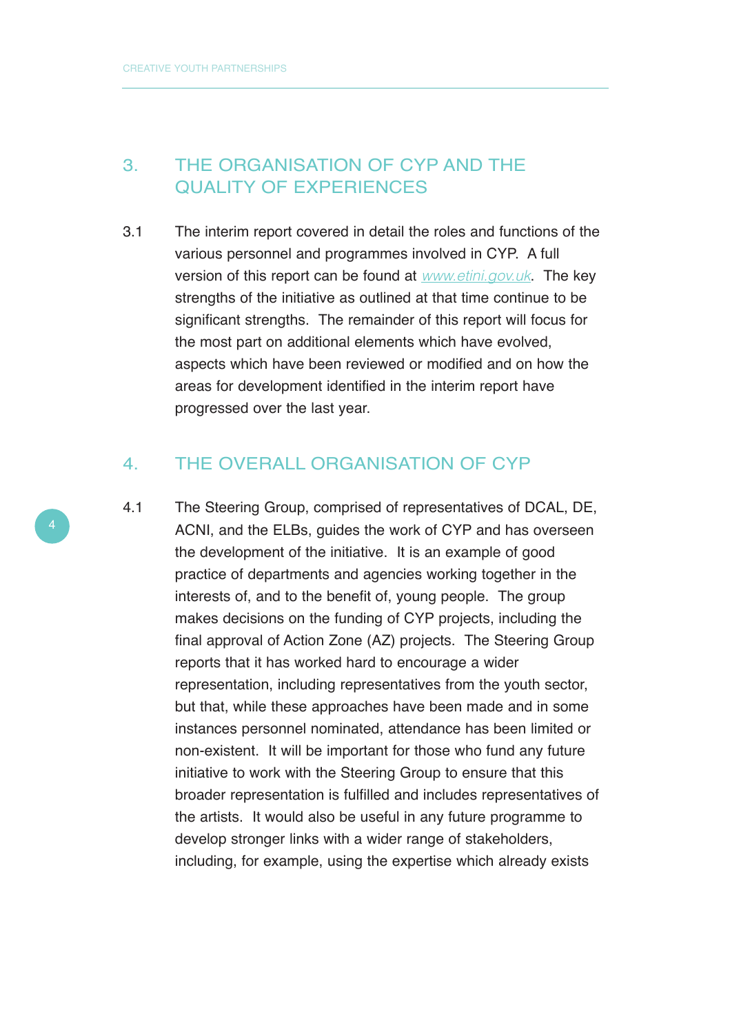## 3. THE ORGANISATION OF CYP AND THE QUALITY OF EXPERIENCES

3.1 The interim report covered in detail the roles and functions of the various personnel and programmes involved in CYP. A full version of this report can be found at www.etini.gov.uk. The key strengths of the initiative as outlined at that time continue to be significant strengths. The remainder of this report will focus for the most part on additional elements which have evolved, aspects which have been reviewed or modified and on how the areas for development identified in the interim report have progressed over the last year.

#### 4. THE OVERALL ORGANISATION OF CYP

4.1 The Steering Group, comprised of representatives of DCAL, DE, ACNI, and the ELBs, guides the work of CYP and has overseen the development of the initiative. It is an example of good practice of departments and agencies working together in the interests of, and to the benefit of, young people. The group makes decisions on the funding of CYP projects, including the final approval of Action Zone (AZ) projects. The Steering Group reports that it has worked hard to encourage a wider representation, including representatives from the youth sector, but that, while these approaches have been made and in some instances personnel nominated, attendance has been limited or non-existent. It will be important for those who fund any future initiative to work with the Steering Group to ensure that this broader representation is fulfilled and includes representatives of the artists. It would also be useful in any future programme to develop stronger links with a wider range of stakeholders, including, for example, using the expertise which already exists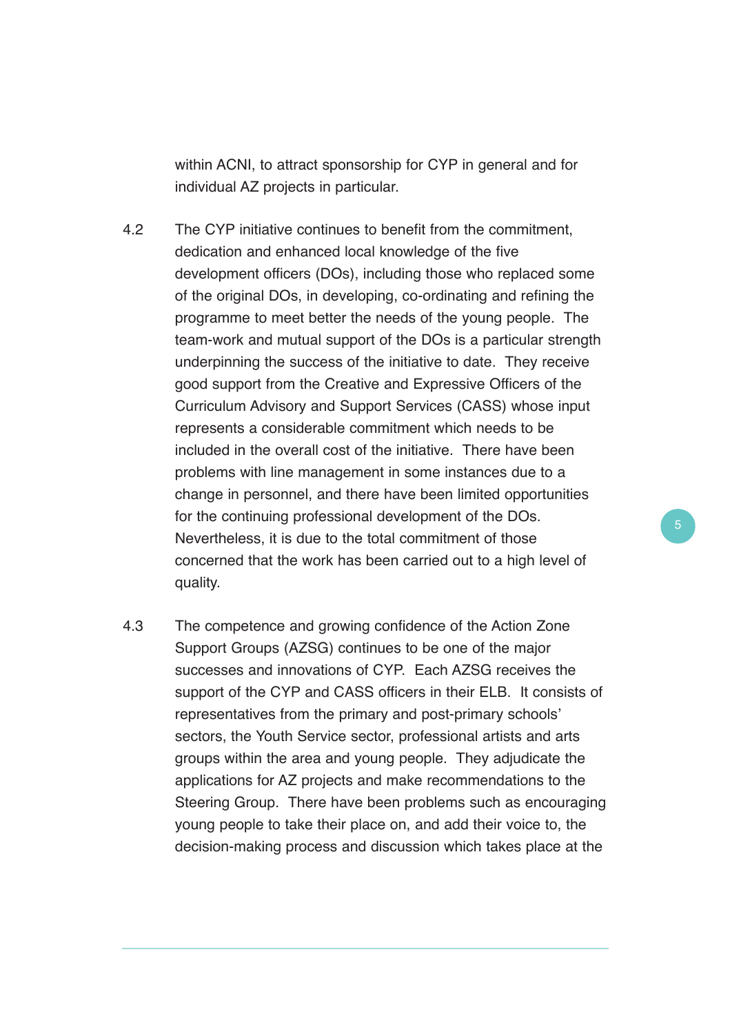within ACNI, to attract sponsorship for CYP in general and for individual AZ projects in particular.

- 4.2 The CYP initiative continues to benefit from the commitment, dedication and enhanced local knowledge of the five development officers (DOs), including those who replaced some of the original DOs, in developing, co-ordinating and refining the programme to meet better the needs of the young people. The team-work and mutual support of the DOs is a particular strength underpinning the success of the initiative to date. They receive good support from the Creative and Expressive Officers of the Curriculum Advisory and Support Services (CASS) whose input represents a considerable commitment which needs to be included in the overall cost of the initiative. There have been problems with line management in some instances due to a change in personnel, and there have been limited opportunities for the continuing professional development of the DOs. Nevertheless, it is due to the total commitment of those concerned that the work has been carried out to a high level of quality.
- 4.3 The competence and growing confidence of the Action Zone Support Groups (AZSG) continues to be one of the major successes and innovations of CYP. Each AZSG receives the support of the CYP and CASS officers in their ELB. It consists of representatives from the primary and post-primary schools' sectors, the Youth Service sector, professional artists and arts groups within the area and young people. They adjudicate the applications for AZ projects and make recommendations to the Steering Group. There have been problems such as encouraging young people to take their place on, and add their voice to, the decision-making process and discussion which takes place at the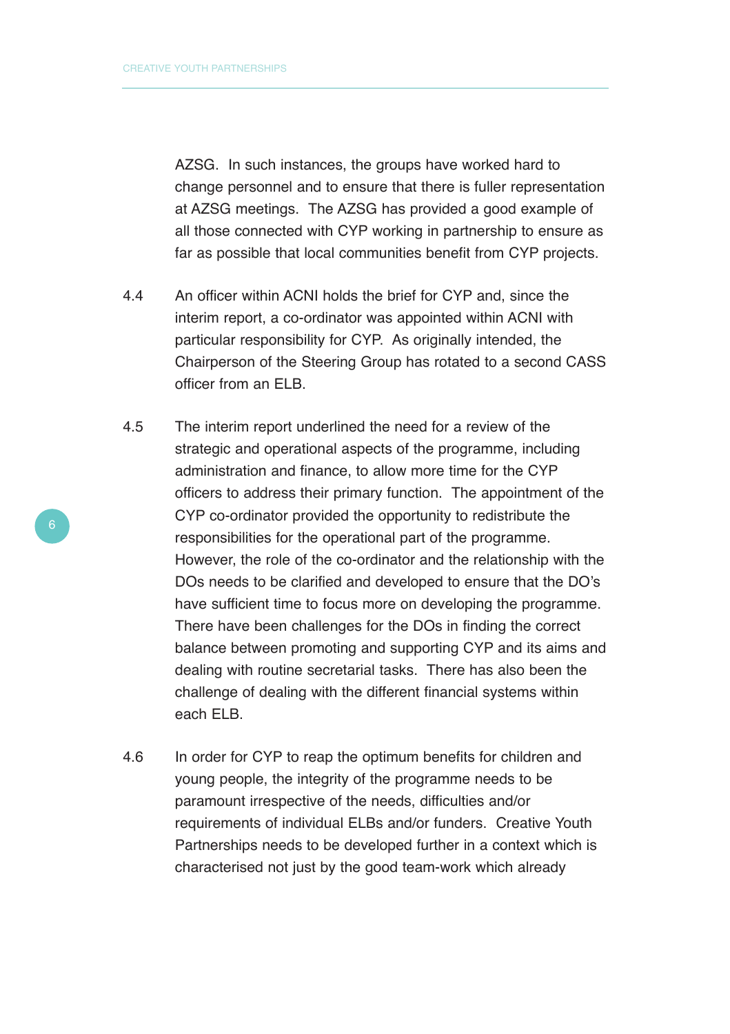AZSG. In such instances, the groups have worked hard to change personnel and to ensure that there is fuller representation at AZSG meetings. The AZSG has provided a good example of all those connected with CYP working in partnership to ensure as far as possible that local communities benefit from CYP projects.

- 4.4 An officer within ACNI holds the brief for CYP and, since the interim report, a co-ordinator was appointed within ACNI with particular responsibility for CYP. As originally intended, the Chairperson of the Steering Group has rotated to a second CASS officer from an ELB.
- 4.5 The interim report underlined the need for a review of the strategic and operational aspects of the programme, including administration and finance, to allow more time for the CYP officers to address their primary function. The appointment of the CYP co-ordinator provided the opportunity to redistribute the responsibilities for the operational part of the programme. However, the role of the co-ordinator and the relationship with the DOs needs to be clarified and developed to ensure that the DO's have sufficient time to focus more on developing the programme. There have been challenges for the DOs in finding the correct balance between promoting and supporting CYP and its aims and dealing with routine secretarial tasks. There has also been the challenge of dealing with the different financial systems within each ELB.
- 4.6 In order for CYP to reap the optimum benefits for children and young people, the integrity of the programme needs to be paramount irrespective of the needs, difficulties and/or requirements of individual ELBs and/or funders. Creative Youth Partnerships needs to be developed further in a context which is characterised not just by the good team-work which already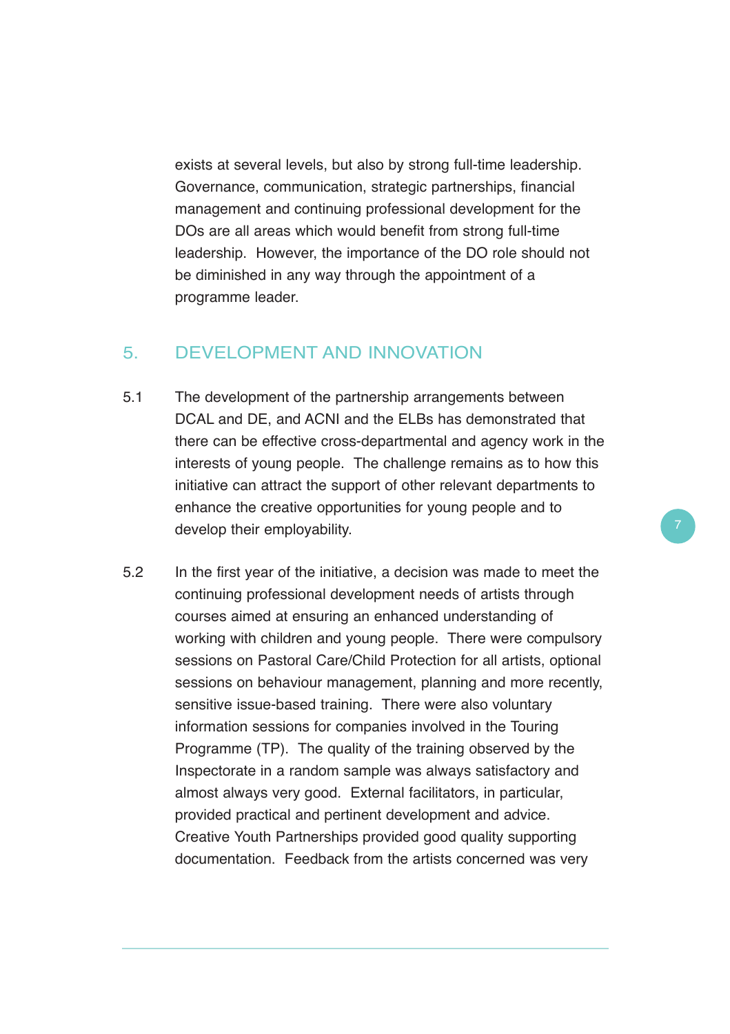exists at several levels, but also by strong full-time leadership. Governance, communication, strategic partnerships, financial management and continuing professional development for the DOs are all areas which would benefit from strong full-time leadership. However, the importance of the DO role should not be diminished in any way through the appointment of a programme leader.

#### 5. DEVELOPMENT AND INNOVATION

- 5.1 The development of the partnership arrangements between DCAL and DE, and ACNI and the ELBs has demonstrated that there can be effective cross-departmental and agency work in the interests of young people. The challenge remains as to how this initiative can attract the support of other relevant departments to enhance the creative opportunities for young people and to develop their employability.
- 5.2 In the first year of the initiative, a decision was made to meet the continuing professional development needs of artists through courses aimed at ensuring an enhanced understanding of working with children and young people. There were compulsory sessions on Pastoral Care/Child Protection for all artists, optional sessions on behaviour management, planning and more recently, sensitive issue-based training. There were also voluntary information sessions for companies involved in the Touring Programme (TP). The quality of the training observed by the Inspectorate in a random sample was always satisfactory and almost always very good. External facilitators, in particular, provided practical and pertinent development and advice. Creative Youth Partnerships provided good quality supporting documentation. Feedback from the artists concerned was very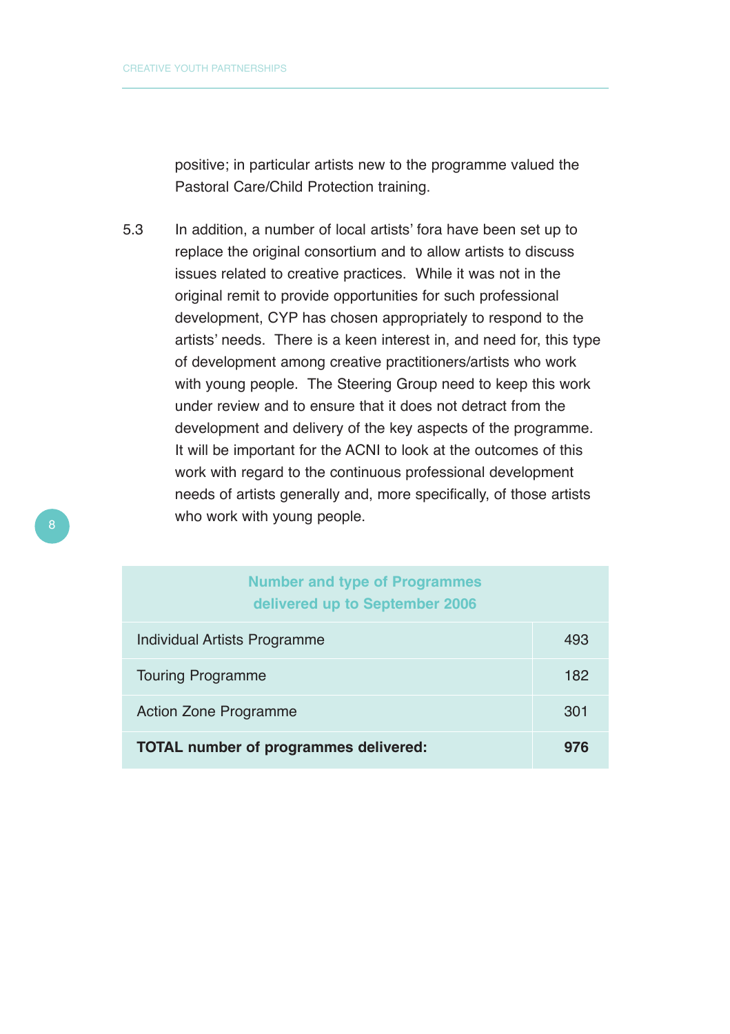positive; in particular artists new to the programme valued the Pastoral Care/Child Protection training.

5.3 In addition, a number of local artists' fora have been set up to replace the original consortium and to allow artists to discuss issues related to creative practices. While it was not in the original remit to provide opportunities for such professional development, CYP has chosen appropriately to respond to the artists' needs. There is a keen interest in, and need for, this type of development among creative practitioners/artists who work with young people. The Steering Group need to keep this work under review and to ensure that it does not detract from the development and delivery of the key aspects of the programme. It will be important for the ACNI to look at the outcomes of this work with regard to the continuous professional development needs of artists generally and, more specifically, of those artists who work with young people.

#### **Number and type of Programmes delivered up to September 2006**

| Individual Artists Programme                 | 493 |
|----------------------------------------------|-----|
| <b>Touring Programme</b>                     |     |
| <b>Action Zone Programme</b>                 |     |
| <b>TOTAL number of programmes delivered:</b> | 976 |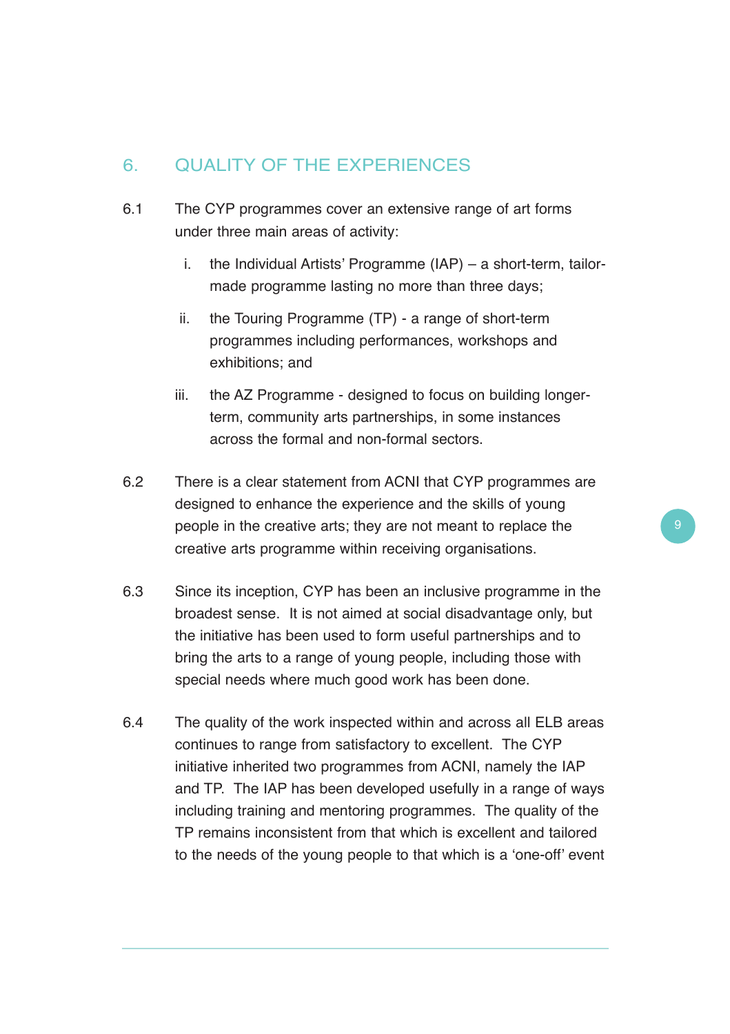# 6. QUALITY OF THE EXPERIENCES

- 6.1 The CYP programmes cover an extensive range of art forms under three main areas of activity:
	- i. the Individual Artists' Programme (IAP) a short-term, tailormade programme lasting no more than three days;
	- ii. the Touring Programme (TP) a range of short-term programmes including performances, workshops and exhibitions; and
	- iii. the AZ Programme designed to focus on building longerterm, community arts partnerships, in some instances across the formal and non-formal sectors.
- 6.2 There is a clear statement from ACNI that CYP programmes are designed to enhance the experience and the skills of young people in the creative arts; they are not meant to replace the creative arts programme within receiving organisations.
- 6.3 Since its inception, CYP has been an inclusive programme in the broadest sense. It is not aimed at social disadvantage only, but the initiative has been used to form useful partnerships and to bring the arts to a range of young people, including those with special needs where much good work has been done.
- 6.4 The quality of the work inspected within and across all ELB areas continues to range from satisfactory to excellent. The CYP initiative inherited two programmes from ACNI, namely the IAP and TP. The IAP has been developed usefully in a range of ways including training and mentoring programmes. The quality of the TP remains inconsistent from that which is excellent and tailored to the needs of the young people to that which is a 'one-off' event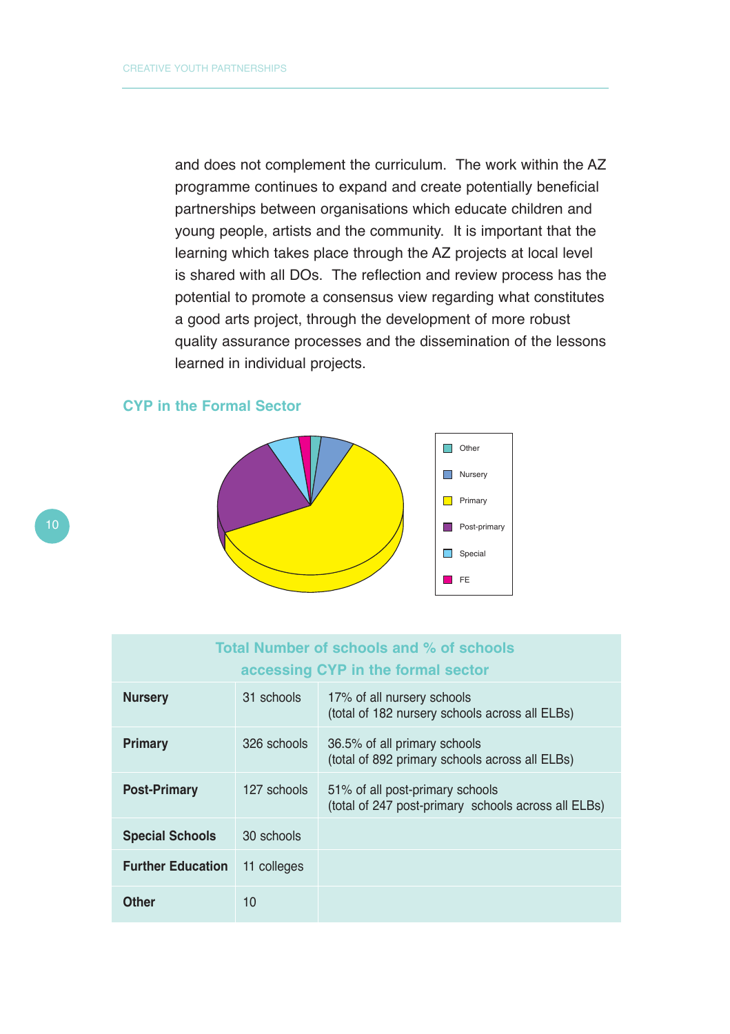and does not complement the curriculum. The work within the AZ programme continues to expand and create potentially beneficial partnerships between organisations which educate children and young people, artists and the community. It is important that the learning which takes place through the AZ projects at local level is shared with all DOs. The reflection and review process has the potential to promote a consensus view regarding what constitutes a good arts project, through the development of more robust quality assurance processes and the dissemination of the lessons learned in individual projects.





| Total Number of schools and % of schools |             |                                                                                        |  |  |  |  |  |
|------------------------------------------|-------------|----------------------------------------------------------------------------------------|--|--|--|--|--|
| accessing CYP in the formal sector       |             |                                                                                        |  |  |  |  |  |
| <b>Nursery</b>                           | 31 schools  | 17% of all nursery schools<br>(total of 182 nursery schools across all ELBs)           |  |  |  |  |  |
| <b>Primary</b>                           | 326 schools | 36.5% of all primary schools<br>(total of 892 primary schools across all ELBs)         |  |  |  |  |  |
| <b>Post-Primary</b>                      | 127 schools | 51% of all post-primary schools<br>(total of 247 post-primary schools across all ELBs) |  |  |  |  |  |
| <b>Special Schools</b>                   | 30 schools  |                                                                                        |  |  |  |  |  |
| <b>Further Education</b>                 | 11 colleges |                                                                                        |  |  |  |  |  |
| Other                                    | 10          |                                                                                        |  |  |  |  |  |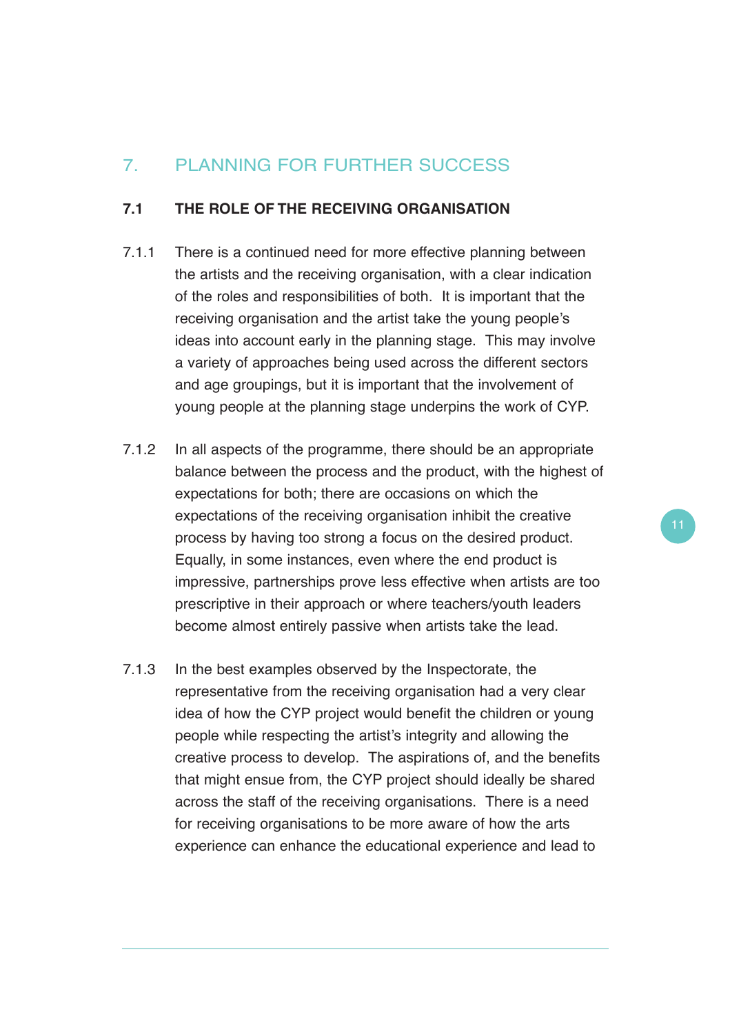# 7. PLANNING FOR FURTHER SUCCESS

#### **7.1 THE ROLE OF THE RECEIVING ORGANISATION**

- 7.1.1 There is a continued need for more effective planning between the artists and the receiving organisation, with a clear indication of the roles and responsibilities of both. It is important that the receiving organisation and the artist take the young people's ideas into account early in the planning stage. This may involve a variety of approaches being used across the different sectors and age groupings, but it is important that the involvement of young people at the planning stage underpins the work of CYP.
- 7.1.2 In all aspects of the programme, there should be an appropriate balance between the process and the product, with the highest of expectations for both; there are occasions on which the expectations of the receiving organisation inhibit the creative process by having too strong a focus on the desired product. Equally, in some instances, even where the end product is impressive, partnerships prove less effective when artists are too prescriptive in their approach or where teachers/youth leaders become almost entirely passive when artists take the lead.
- 7.1.3 In the best examples observed by the Inspectorate, the representative from the receiving organisation had a very clear idea of how the CYP project would benefit the children or young people while respecting the artist's integrity and allowing the creative process to develop. The aspirations of, and the benefits that might ensue from, the CYP project should ideally be shared across the staff of the receiving organisations. There is a need for receiving organisations to be more aware of how the arts experience can enhance the educational experience and lead to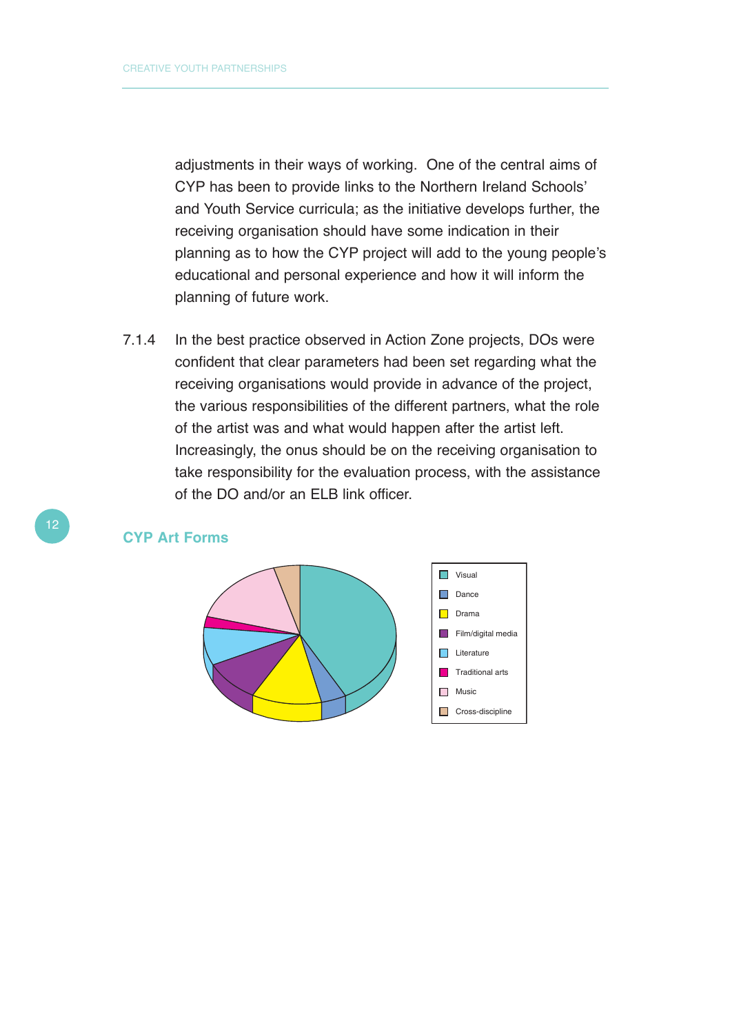adjustments in their ways of working. One of the central aims of CYP has been to provide links to the Northern Ireland Schools' and Youth Service curricula; as the initiative develops further, the receiving organisation should have some indication in their planning as to how the CYP project will add to the young people's educational and personal experience and how it will inform the planning of future work.

7.1.4 In the best practice observed in Action Zone projects, DOs were confident that clear parameters had been set regarding what the receiving organisations would provide in advance of the project, the various responsibilities of the different partners, what the role of the artist was and what would happen after the artist left. Increasingly, the onus should be on the receiving organisation to take responsibility for the evaluation process, with the assistance of the DO and/or an ELB link officer.

#### **CYP Art Forms**

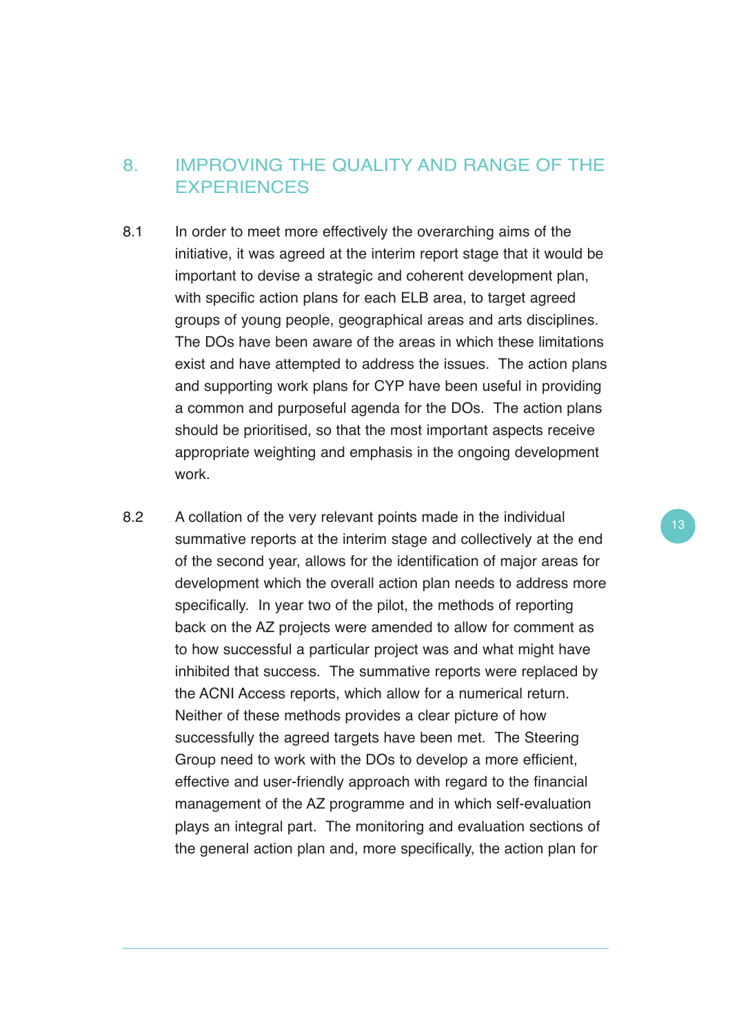## 8. IMPROVING THE QUALITY AND RANGE OF THE **EXPERIENCES**

- 8.1 In order to meet more effectively the overarching aims of the initiative, it was agreed at the interim report stage that it would be important to devise a strategic and coherent development plan, with specific action plans for each ELB area, to target agreed groups of young people, geographical areas and arts disciplines. The DOs have been aware of the areas in which these limitations exist and have attempted to address the issues. The action plans and supporting work plans for CYP have been useful in providing a common and purposeful agenda for the DOs. The action plans should be prioritised, so that the most important aspects receive appropriate weighting and emphasis in the ongoing development work.
- 8.2 A collation of the very relevant points made in the individual summative reports at the interim stage and collectively at the end of the second year, allows for the identification of major areas for development which the overall action plan needs to address more specifically. In year two of the pilot, the methods of reporting back on the AZ projects were amended to allow for comment as to how successful a particular project was and what might have inhibited that success. The summative reports were replaced by the ACNI Access reports, which allow for a numerical return. Neither of these methods provides a clear picture of how successfully the agreed targets have been met. The Steering Group need to work with the DOs to develop a more efficient, effective and user-friendly approach with regard to the financial management of the AZ programme and in which self-evaluation plays an integral part. The monitoring and evaluation sections of the general action plan and, more specifically, the action plan for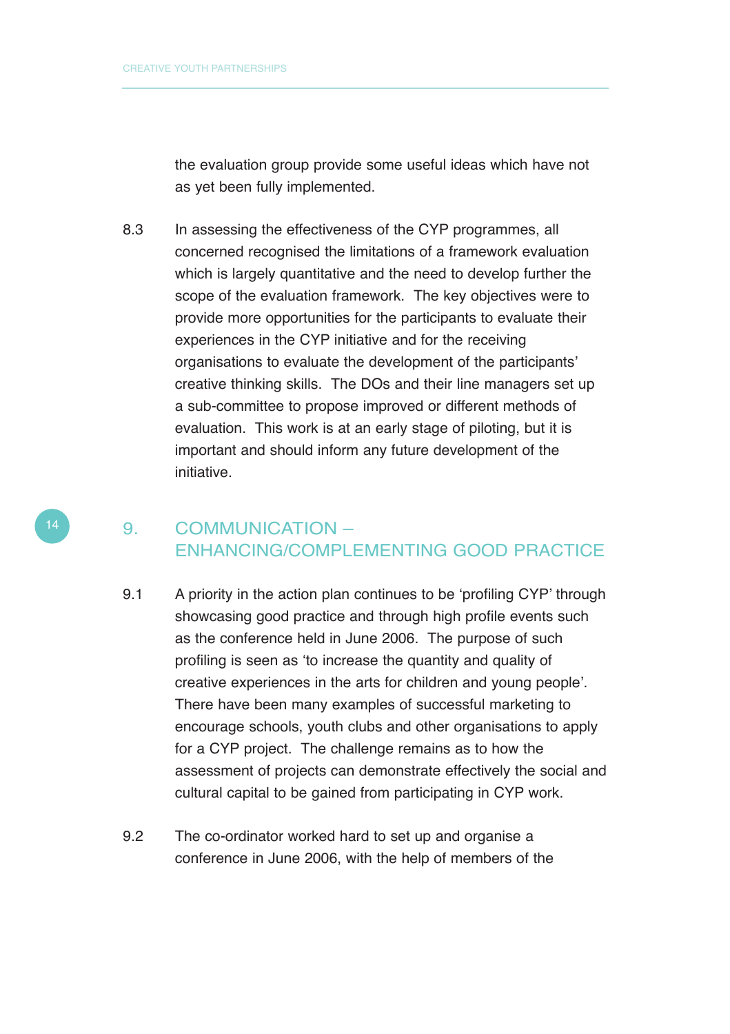the evaluation group provide some useful ideas which have not as yet been fully implemented.

8.3 In assessing the effectiveness of the CYP programmes, all concerned recognised the limitations of a framework evaluation which is largely quantitative and the need to develop further the scope of the evaluation framework. The key objectives were to provide more opportunities for the participants to evaluate their experiences in the CYP initiative and for the receiving organisations to evaluate the development of the participants' creative thinking skills. The DOs and their line managers set up a sub-committee to propose improved or different methods of evaluation. This work is at an early stage of piloting, but it is important and should inform any future development of the initiative.

## 9. COMMUNICATION – ENHANCING/COMPLEMENTING GOOD PRACTICE

- 9.1 A priority in the action plan continues to be 'profiling CYP' through showcasing good practice and through high profile events such as the conference held in June 2006. The purpose of such profiling is seen as 'to increase the quantity and quality of creative experiences in the arts for children and young people'. There have been many examples of successful marketing to encourage schools, youth clubs and other organisations to apply for a CYP project. The challenge remains as to how the assessment of projects can demonstrate effectively the social and cultural capital to be gained from participating in CYP work.
- 9.2 The co-ordinator worked hard to set up and organise a conference in June 2006, with the help of members of the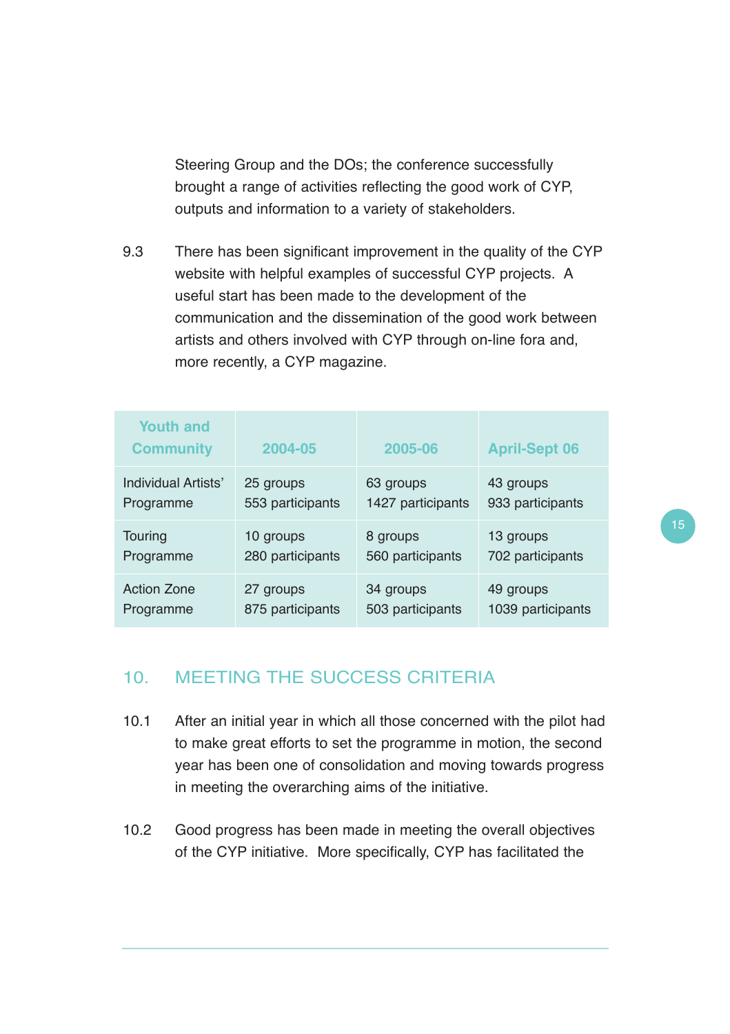Steering Group and the DOs; the conference successfully brought a range of activities reflecting the good work of CYP, outputs and information to a variety of stakeholders.

9.3 There has been significant improvement in the quality of the CYP website with helpful examples of successful CYP projects. A useful start has been made to the development of the communication and the dissemination of the good work between artists and others involved with CYP through on-line fora and, more recently, a CYP magazine.

| <b>Youth and</b><br><b>Community</b> | 2004-05          | 2005-06           | <b>April-Sept 06</b> |
|--------------------------------------|------------------|-------------------|----------------------|
| Individual Artists'                  | 25 groups        | 63 groups         | 43 groups            |
| Programme                            | 553 participants | 1427 participants | 933 participants     |
| Touring                              | 10 groups        | 8 groups          | 13 groups            |
| Programme                            | 280 participants | 560 participants  | 702 participants     |
| <b>Action Zone</b>                   | 27 groups        | 34 groups         | 49 groups            |
| Programme                            | 875 participants | 503 participants  | 1039 participants    |

#### 10. MEETING THE SUCCESS CRITERIA

- 10.1 After an initial year in which all those concerned with the pilot had to make great efforts to set the programme in motion, the second year has been one of consolidation and moving towards progress in meeting the overarching aims of the initiative.
- 10.2 Good progress has been made in meeting the overall objectives of the CYP initiative. More specifically, CYP has facilitated the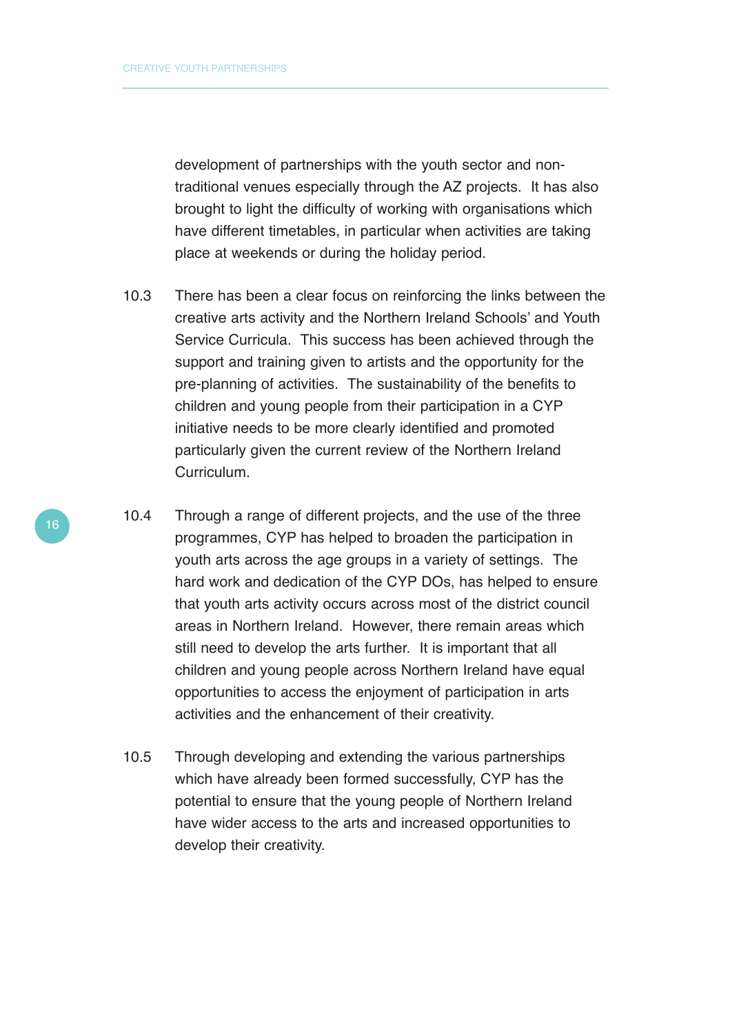development of partnerships with the youth sector and nontraditional venues especially through the AZ projects. It has also brought to light the difficulty of working with organisations which have different timetables, in particular when activities are taking place at weekends or during the holiday period.

- 10.3 There has been a clear focus on reinforcing the links between the creative arts activity and the Northern Ireland Schools' and Youth Service Curricula. This success has been achieved through the support and training given to artists and the opportunity for the pre-planning of activities. The sustainability of the benefits to children and young people from their participation in a CYP initiative needs to be more clearly identified and promoted particularly given the current review of the Northern Ireland Curriculum.
- 10.4 Through a range of different projects, and the use of the three programmes, CYP has helped to broaden the participation in youth arts across the age groups in a variety of settings. The hard work and dedication of the CYP DOs, has helped to ensure that youth arts activity occurs across most of the district council areas in Northern Ireland. However, there remain areas which still need to develop the arts further. It is important that all children and young people across Northern Ireland have equal opportunities to access the enjoyment of participation in arts activities and the enhancement of their creativity.
- 10.5 Through developing and extending the various partnerships which have already been formed successfully, CYP has the potential to ensure that the young people of Northern Ireland have wider access to the arts and increased opportunities to develop their creativity.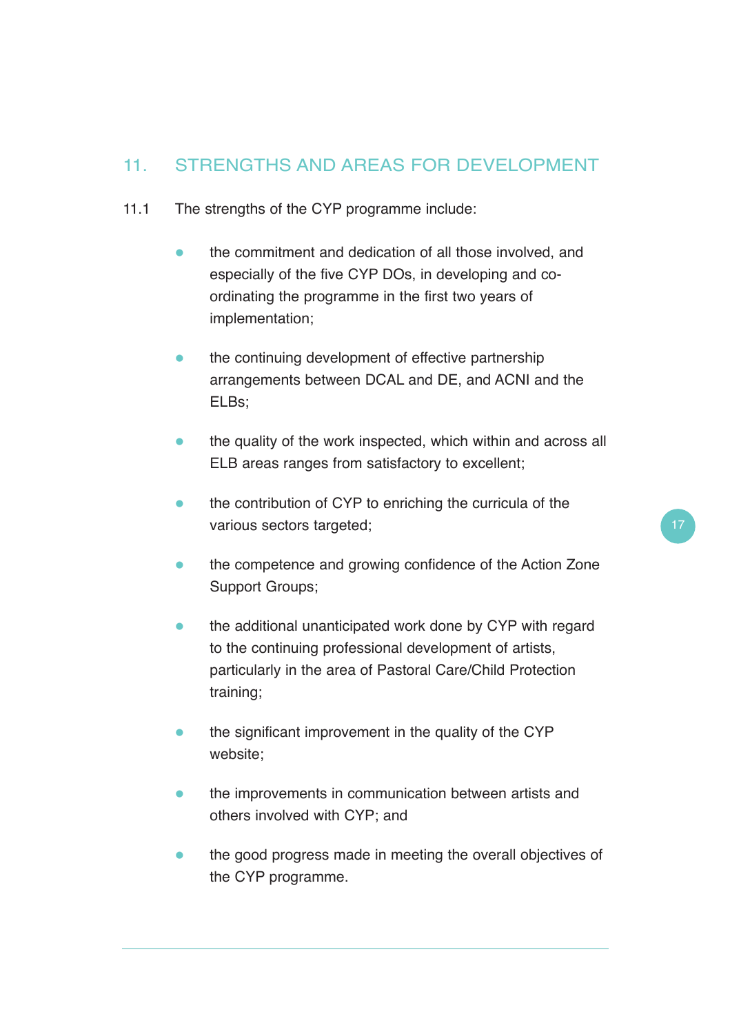# 11. STRENGTHS AND AREAS FOR DEVELOPMENT

- 11.1 The strengths of the CYP programme include:
	- $\bullet$  the commitment and dedication of all those involved, and especially of the five CYP DOs, in developing and coordinating the programme in the first two years of implementation;
	- $\bullet$  the continuing development of effective partnership arrangements between DCAL and DE, and ACNI and the ELBs;
	- $\blacksquare$  the quality of the work inspected, which within and across all ELB areas ranges from satisfactory to excellent;
	- the contribution of CYP to enriching the curricula of the various sectors targeted;
	- $\bullet$  the competence and growing confidence of the Action Zone Support Groups;
	- $\bullet$  the additional unanticipated work done by CYP with regard to the continuing professional development of artists, particularly in the area of Pastoral Care/Child Protection training;
	- $\bullet$  the significant improvement in the quality of the CYP website;
	- $\bullet$  the improvements in communication between artists and others involved with CYP; and
	- $\bullet$  the good progress made in meeting the overall objectives of the CYP programme.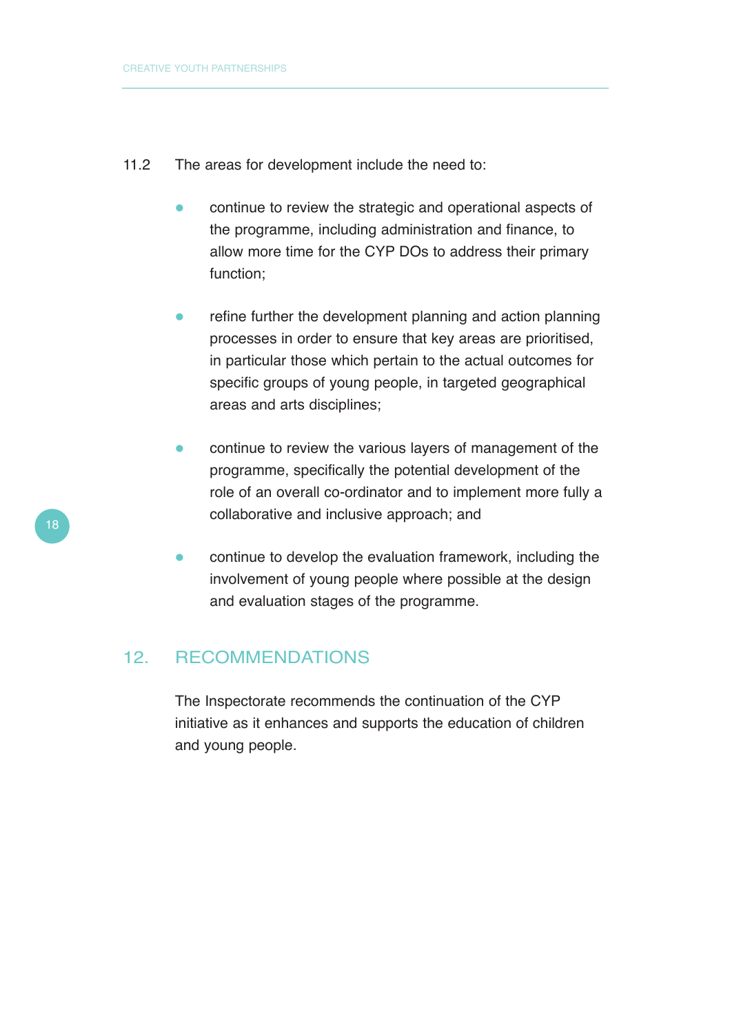- 11.2 The areas for development include the need to:
	- $\bullet$  continue to review the strategic and operational aspects of the programme, including administration and finance, to allow more time for the CYP DOs to address their primary function;
	- $\bullet$  refine further the development planning and action planning processes in order to ensure that key areas are prioritised, in particular those which pertain to the actual outcomes for specific groups of young people, in targeted geographical areas and arts disciplines;
	- $\bullet$  continue to review the various layers of management of the programme, specifically the potential development of the role of an overall co-ordinator and to implement more fully a collaborative and inclusive approach; and
	- $\bullet$  continue to develop the evaluation framework, including the involvement of young people where possible at the design and evaluation stages of the programme.

#### 12. RECOMMENDATIONS

The Inspectorate recommends the continuation of the CYP initiative as it enhances and supports the education of children and young people.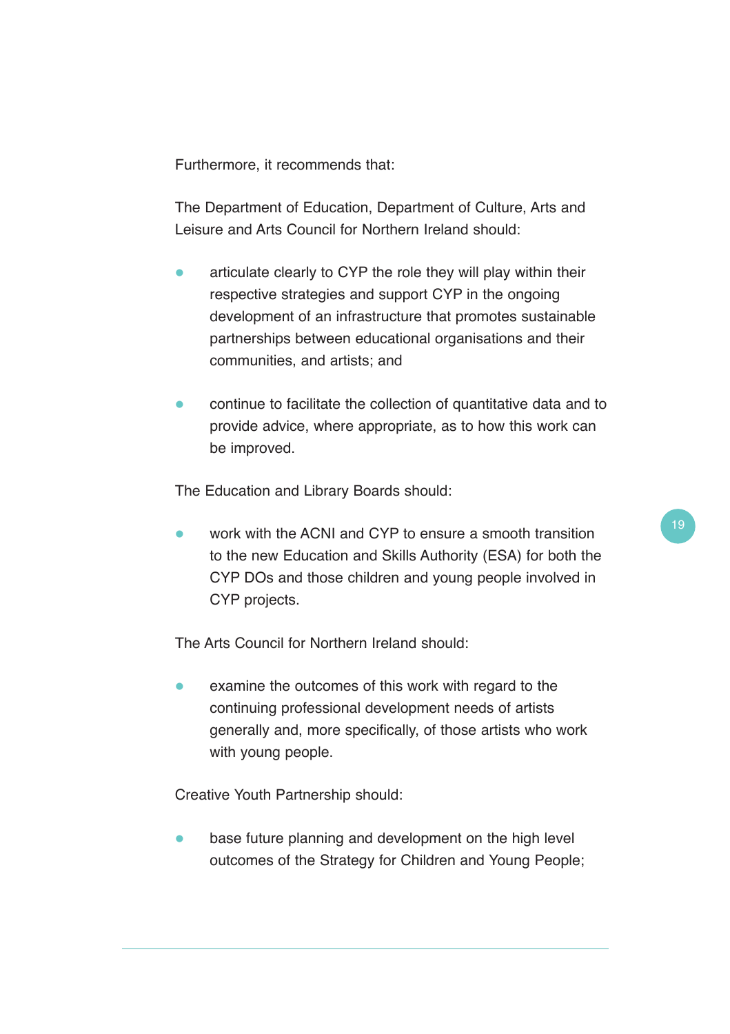Furthermore, it recommends that:

The Department of Education, Department of Culture, Arts and Leisure and Arts Council for Northern Ireland should:

- $\bullet$  articulate clearly to CYP the role they will play within their respective strategies and support CYP in the ongoing development of an infrastructure that promotes sustainable partnerships between educational organisations and their communities, and artists; and
- $\bullet$  continue to facilitate the collection of quantitative data and to provide advice, where appropriate, as to how this work can be improved.

The Education and Library Boards should:

 $\bullet$  work with the ACNI and CYP to ensure a smooth transition to the new Education and Skills Authority (ESA) for both the CYP DOs and those children and young people involved in CYP projects.

The Arts Council for Northern Ireland should:

 $\bullet$  examine the outcomes of this work with regard to the continuing professional development needs of artists generally and, more specifically, of those artists who work with young people.

Creative Youth Partnership should:

 $\bullet$  base future planning and development on the high level outcomes of the Strategy for Children and Young People;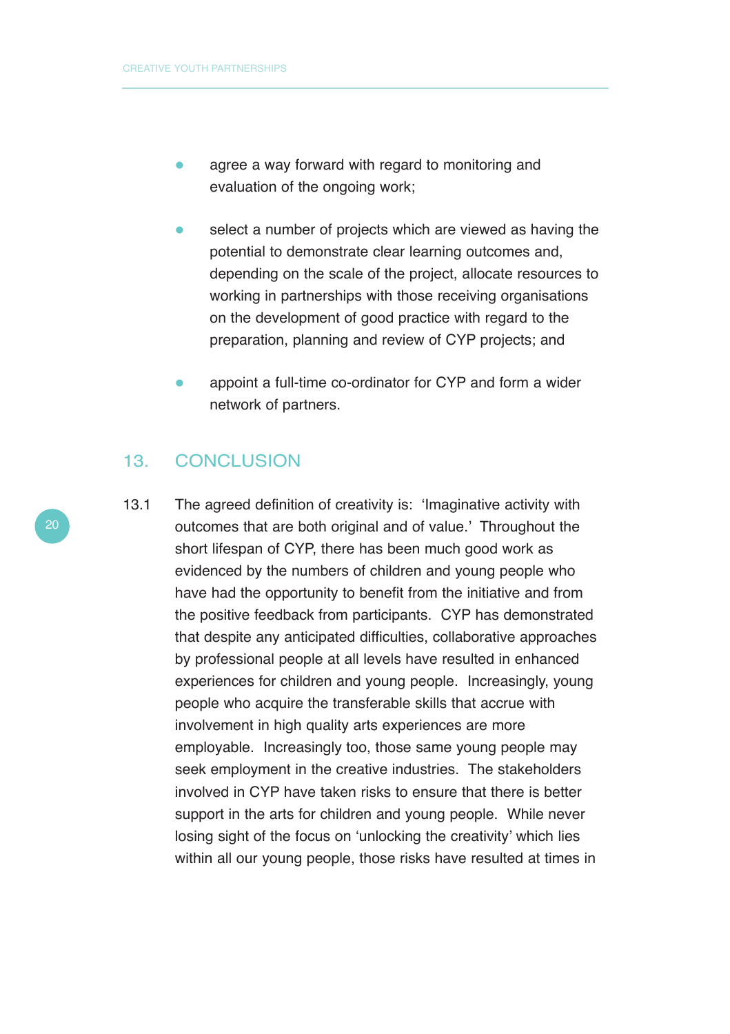- $\bullet$  agree a way forward with regard to monitoring and evaluation of the ongoing work;
- $\bullet$  select a number of projects which are viewed as having the potential to demonstrate clear learning outcomes and, depending on the scale of the project, allocate resources to working in partnerships with those receiving organisations on the development of good practice with regard to the preparation, planning and review of CYP projects; and
- appoint a full-time co-ordinator for CYP and form a wider network of partners.

#### 13. CONCLUSION

13.1 The agreed definition of creativity is: 'Imaginative activity with outcomes that are both original and of value.' Throughout the short lifespan of CYP, there has been much good work as evidenced by the numbers of children and young people who have had the opportunity to benefit from the initiative and from the positive feedback from participants. CYP has demonstrated that despite any anticipated difficulties, collaborative approaches by professional people at all levels have resulted in enhanced experiences for children and young people. Increasingly, young people who acquire the transferable skills that accrue with involvement in high quality arts experiences are more employable. Increasingly too, those same young people may seek employment in the creative industries. The stakeholders involved in CYP have taken risks to ensure that there is better support in the arts for children and young people. While never losing sight of the focus on 'unlocking the creativity' which lies within all our young people, those risks have resulted at times in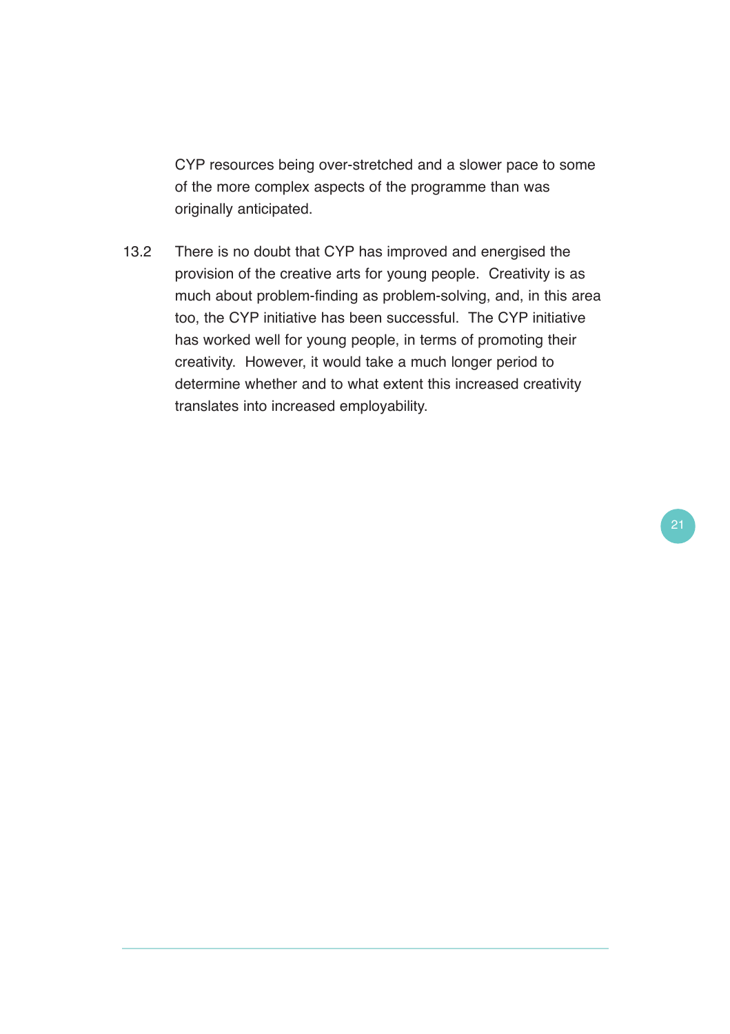CYP resources being over-stretched and a slower pace to some of the more complex aspects of the programme than was originally anticipated.

13.2 There is no doubt that CYP has improved and energised the provision of the creative arts for young people. Creativity is as much about problem-finding as problem-solving, and, in this area too, the CYP initiative has been successful. The CYP initiative has worked well for young people, in terms of promoting their creativity. However, it would take a much longer period to determine whether and to what extent this increased creativity translates into increased employability.